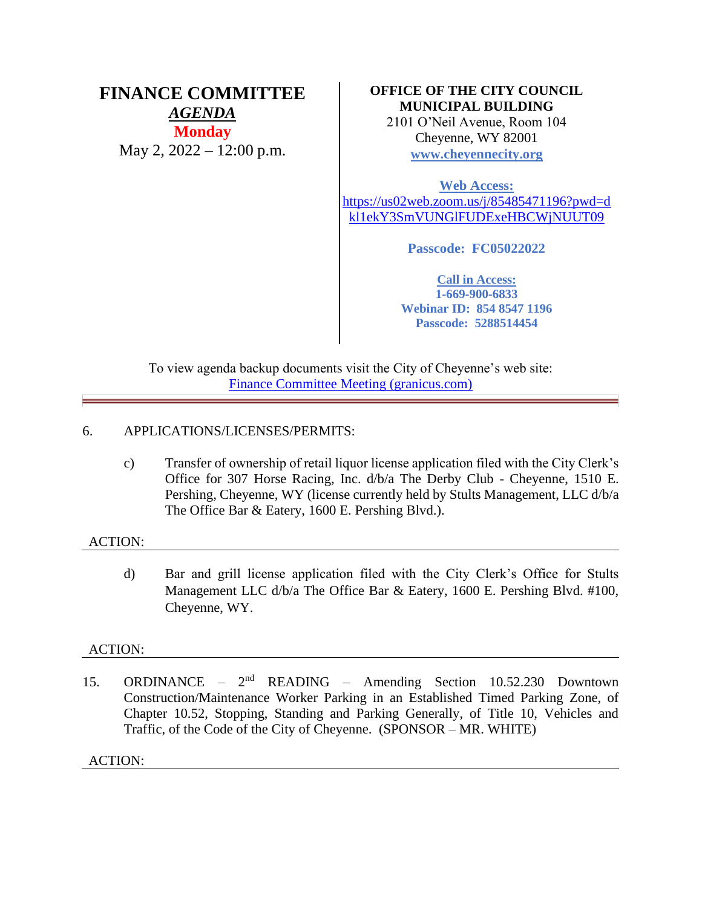# **FINANCE COMMITTEE** *AGENDA*

**Monday** May 2, 2022 – 12:00 p.m.

# **OFFICE OF THE CITY COUNCIL MUNICIPAL BUILDING**

2101 O'Neil Avenue, Room 104 Cheyenne, WY 82001 **[www.cheyennecity.org](http://www.cheyennecity.org/)**

**Web Access:** [https://us02web.zoom.us/j/85485471196?pwd=d](https://us02web.zoom.us/j/85485471196?pwd=dkl1ekY3SmVUNGlFUDExeHBCWjNUUT09) [kl1ekY3SmVUNGlFUDExeHBCWjNUUT09](https://us02web.zoom.us/j/85485471196?pwd=dkl1ekY3SmVUNGlFUDExeHBCWjNUUT09)

**Passcode: FC05022022**

**Call in Access: 1-669-900-6833 Webinar ID: 854 8547 1196 Passcode: 5288514454**

To view agenda backup documents visit the City of Cheyenne's web site: [Finance Committee Meeting \(granicus.com\)](https://cheyenne.granicus.com/GeneratedAgendaViewer.php?event_id=1068)

# 6. APPLICATIONS/LICENSES/PERMITS:

c) Transfer of ownership of retail liquor license application filed with the City Clerk's Office for 307 Horse Racing, Inc. d/b/a The Derby Club - Cheyenne, 1510 E. Pershing, Cheyenne, WY (license currently held by Stults Management, LLC d/b/a The Office Bar & Eatery, 1600 E. Pershing Blvd.).

# ACTION:

d) Bar and grill license application filed with the City Clerk's Office for Stults Management LLC d/b/a The Office Bar & Eatery, 1600 E. Pershing Blvd. #100, Cheyenne, WY.

# ACTION:

15. ORDINANCE –  $2<sup>nd</sup>$  $READING - Amerding Section 10.52.230 Downtown$ Construction/Maintenance Worker Parking in an Established Timed Parking Zone, of Chapter 10.52, Stopping, Standing and Parking Generally, of Title 10, Vehicles and Traffic, of the Code of the City of Cheyenne. (SPONSOR – MR. WHITE)

ACTION: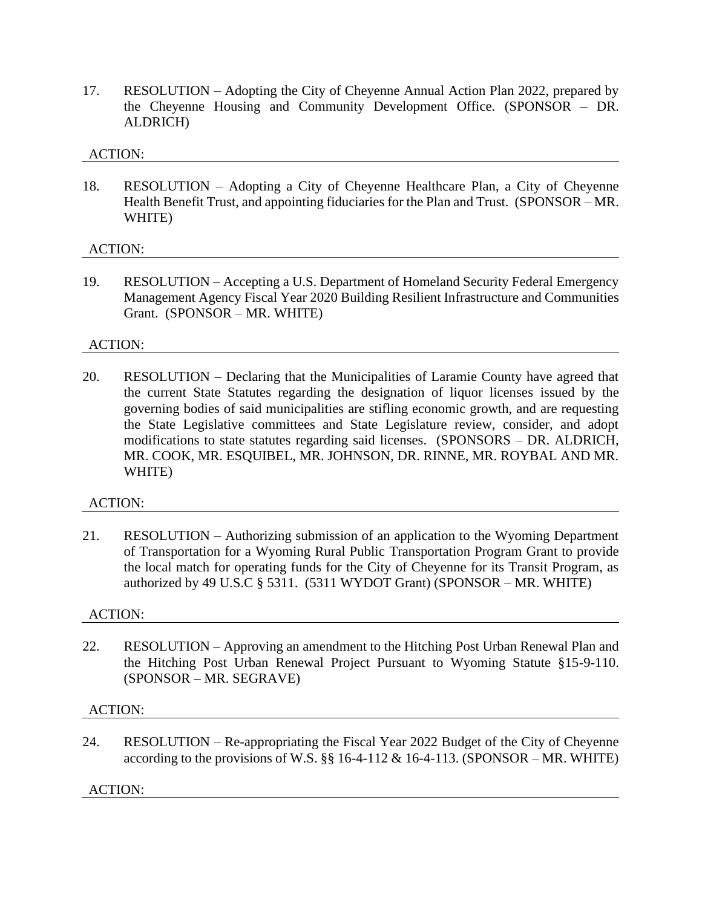17. RESOLUTION – Adopting the City of Cheyenne Annual Action Plan 2022, prepared by the Cheyenne Housing and Community Development Office. (SPONSOR – DR. ALDRICH)

### ACTION:

18. RESOLUTION – Adopting a City of Cheyenne Healthcare Plan, a City of Cheyenne Health Benefit Trust, and appointing fiduciaries for the Plan and Trust. (SPONSOR – MR. WHITE)

### ACTION:

19. RESOLUTION – Accepting a U.S. Department of Homeland Security Federal Emergency Management Agency Fiscal Year 2020 Building Resilient Infrastructure and Communities Grant. (SPONSOR – MR. WHITE)

### ACTION:

20. RESOLUTION – Declaring that the Municipalities of Laramie County have agreed that the current State Statutes regarding the designation of liquor licenses issued by the governing bodies of said municipalities are stifling economic growth, and are requesting the State Legislative committees and State Legislature review, consider, and adopt modifications to state statutes regarding said licenses. (SPONSORS – DR. ALDRICH, MR. COOK, MR. ESQUIBEL, MR. JOHNSON, DR. RINNE, MR. ROYBAL AND MR. WHITE)

# ACTION:

21. RESOLUTION – Authorizing submission of an application to the Wyoming Department of Transportation for a Wyoming Rural Public Transportation Program Grant to provide the local match for operating funds for the City of Cheyenne for its Transit Program, as authorized by 49 U.S.C  $\S$  5311. (5311 WYDOT Grant) (SPONSOR – MR. WHITE)

#### ACTION:

22. RESOLUTION – Approving an amendment to the Hitching Post Urban Renewal Plan and the Hitching Post Urban Renewal Project Pursuant to Wyoming Statute §15-9-110. (SPONSOR – MR. SEGRAVE)

#### ACTION:

24. RESOLUTION – Re-appropriating the Fiscal Year 2022 Budget of the City of Cheyenne according to the provisions of W.S.  $\S$  16-4-112 & 16-4-113. (SPONSOR – MR. WHITE)

ACTION: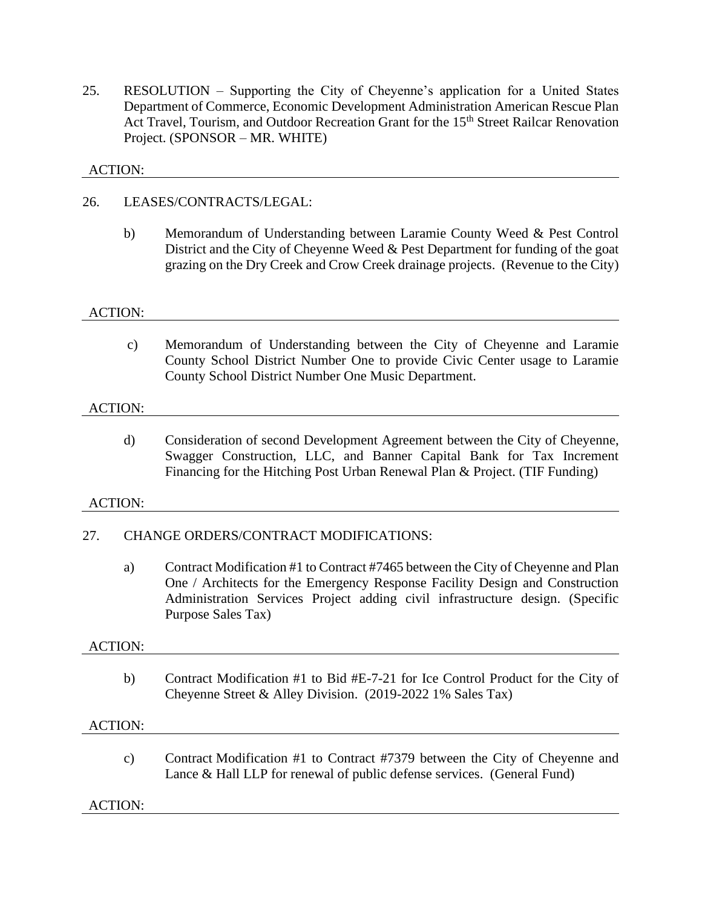25. RESOLUTION – Supporting the City of Cheyenne's application for a United States Department of Commerce, Economic Development Administration American Rescue Plan Act Travel, Tourism, and Outdoor Recreation Grant for the 15<sup>th</sup> Street Railcar Renovation Project. (SPONSOR – MR. WHITE)

# ACTION:

# 26. LEASES/CONTRACTS/LEGAL:

b) Memorandum of Understanding between Laramie County Weed & Pest Control District and the City of Cheyenne Weed & Pest Department for funding of the goat grazing on the Dry Creek and Crow Creek drainage projects. (Revenue to the City)

### ACTION:

c) Memorandum of Understanding between the City of Cheyenne and Laramie County School District Number One to provide Civic Center usage to Laramie County School District Number One Music Department.

### ACTION:

d) Consideration of second Development Agreement between the City of Cheyenne, Swagger Construction, LLC, and Banner Capital Bank for Tax Increment Financing for the Hitching Post Urban Renewal Plan & Project. (TIF Funding)

#### ACTION:

# 27. CHANGE ORDERS/CONTRACT MODIFICATIONS:

a) Contract Modification #1 to Contract #7465 between the City of Cheyenne and Plan One / Architects for the Emergency Response Facility Design and Construction Administration Services Project adding civil infrastructure design. (Specific Purpose Sales Tax)

#### ACTION:

b) Contract Modification #1 to Bid #E-7-21 for Ice Control Product for the City of Cheyenne Street & Alley Division. (2019-2022 1% Sales Tax)

#### ACTION:

c) Contract Modification #1 to Contract #7379 between the City of Cheyenne and Lance & Hall LLP for renewal of public defense services. (General Fund)

# ACTION: